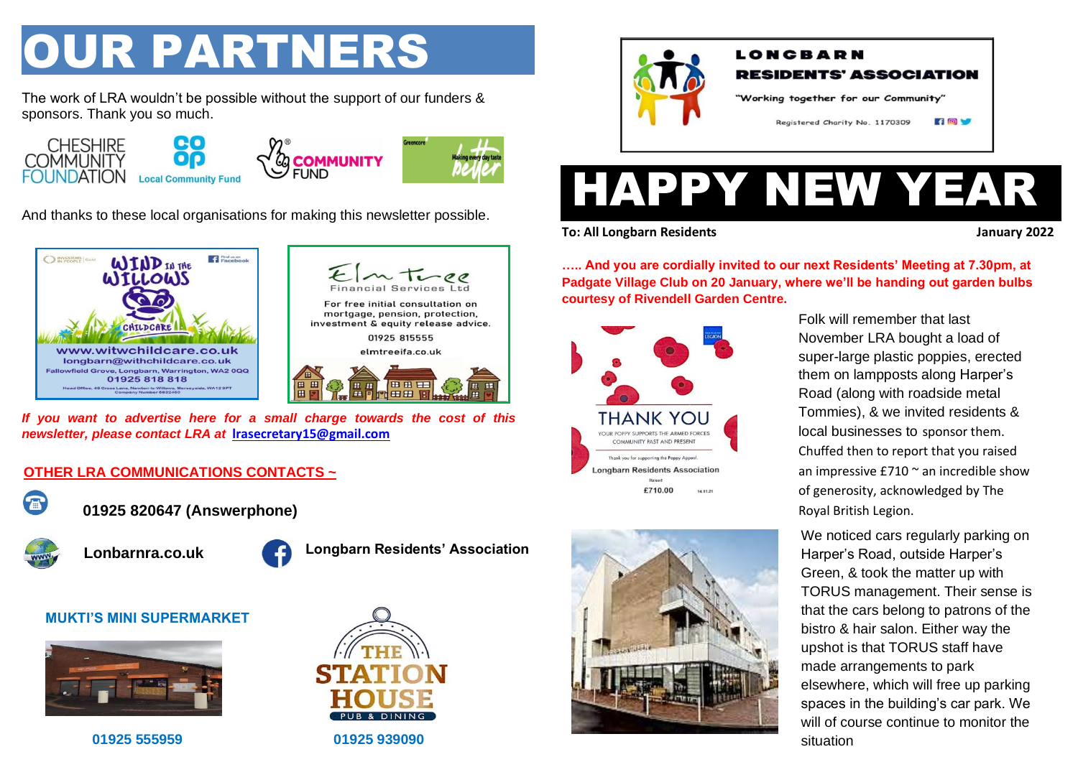## OUR PARTNERS

The work of LRA wouldn't be possible without the support of our funders & sponsors. Thank you so much.



And thanks to these local organisations for making this newsletter possible.





*If you want to advertise here for a small charge towards the cost of this newsletter, please contact LRA at* **[lrasecretary15@gmail.com](mailto:lrasecretary15@gmail.com)**

## **OTHER LRA COMMUNICATIONS CONTACTS ~**



**01925 820647 (Answerphone)**



**Lonbarnra.co.uk**



**Longbarn Residents' Association**

## **MUKTI'S MINI SUPERMARKET**



**01925 555959 01925 939090** 





# HAPPY NEW YEAR

**To: All Longbarn Residents January 2022**

**….. And you are cordially invited to our next Residents' Meeting at 7.30pm, at Padgate Village Club on 20 January, where we'll be handing out garden bulbs courtesy of Rivendell Garden Centre.**





Folk will remember that last November LRA bought a load of super-large plastic poppies, erected them on lampposts along Harper's Road (along with roadside metal Tommies), & we invited residents & local businesses to sponsor them. Chuffed then to report that you raised an impressive  $£710$   $\degree$  an incredible show of generosity, acknowledged by The Royal British Legion.

We noticed cars regularly parking on Harper's Road, outside Harper's Green, & took the matter up with TORUS management. Their sense is that the cars belong to patrons of the bistro & hair salon. Either way the upshot is that TORUS staff have made arrangements to park elsewhere, which will free up parking spaces in the building's car park. We will of course continue to monitor the situation